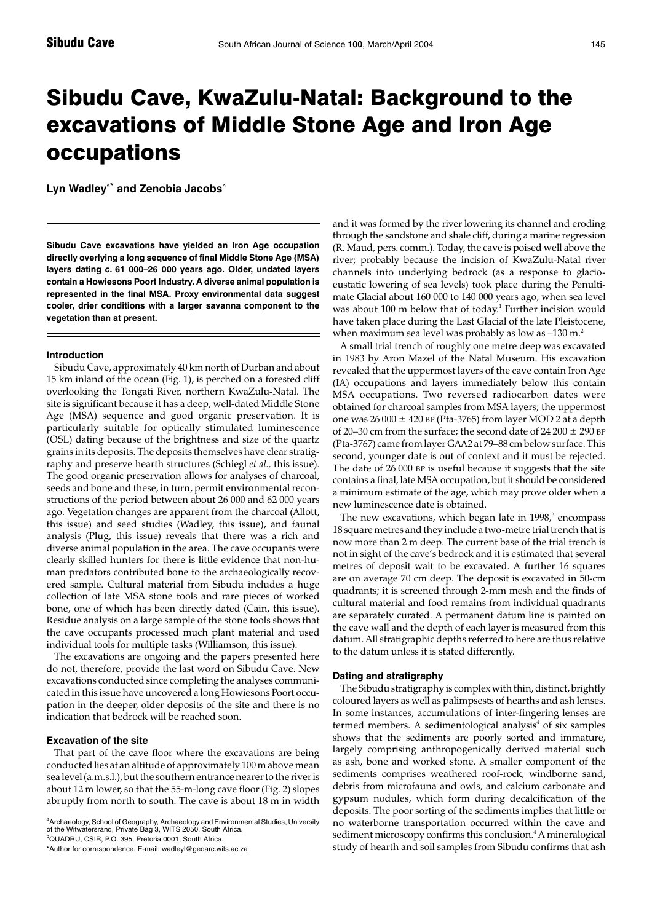# Sibudu Cave, KwaZulu-Natal: Background to the excavations of Middle Stone Age and Iron Age occupations

Lyn Wadley<sup>a\*</sup> and Zenobia Jacobs<sup>b</sup>

**Sibudu Cave excavations have yielded an Iron Age occupation directly overlying a long sequence of final Middle Stone Age (MSA) layers dating** *c.* **61 000–26 000 years ago. Older, undated layers contain a Howiesons Poort Industry. A diverse animal population is represented in the final MSA. Proxy environmental data suggest cooler, drier conditions with a larger savanna component to the vegetation than at present.**

## **Introduction**

Sibudu Cave, approximately 40 km north of Durban and about 15 km inland of the ocean (Fig. 1), is perched on a forested cliff overlooking the Tongati River, northern KwaZulu-Natal. The site is significant because it has a deep, well-dated Middle Stone Age (MSA) sequence and good organic preservation. It is particularly suitable for optically stimulated luminescence (OSL) dating because of the brightness and size of the quartz grains in its deposits. The deposits themselves have clear stratigraphy and preserve hearth structures (Schiegl *et al.,* this issue). The good organic preservation allows for analyses of charcoal, seeds and bone and these, in turn, permit environmental reconstructions of the period between about 26 000 and 62 000 years ago. Vegetation changes are apparent from the charcoal (Allott, this issue) and seed studies (Wadley, this issue), and faunal analysis (Plug, this issue) reveals that there was a rich and diverse animal population in the area. The cave occupants were clearly skilled hunters for there is little evidence that non-human predators contributed bone to the archaeologically recovered sample. Cultural material from Sibudu includes a huge collection of late MSA stone tools and rare pieces of worked bone, one of which has been directly dated (Cain, this issue). Residue analysis on a large sample of the stone tools shows that the cave occupants processed much plant material and used individual tools for multiple tasks (Williamson, this issue).

The excavations are ongoing and the papers presented here do not, therefore, provide the last word on Sibudu Cave. New excavations conducted since completing the analyses communicated in this issue have uncovered a long Howiesons Poort occupation in the deeper, older deposits of the site and there is no indication that bedrock will be reached soon.

# **Excavation of the site**

That part of the cave floor where the excavations are being conducted lies at an altitude of approximately 100 m above mean sea level (a.m.s.l.), but the southern entrance nearer to the river is about 12 m lower, so that the 55-m-long cave floor (Fig. 2) slopes abruptly from north to south. The cave is about 18 m in width

a<br>Archaeology, School of Geography, Archaeology and Environmental Studies, University<br>of the Witwatersrand, Private Bag 3, WITS 2050, South Africa. b QUADRU, CSIR, P.O. 395, Pretoria 0001, South Africa.

\*Author for correspondence. E-mail: wadleyl@geoarc.wits.ac.za

and it was formed by the river lowering its channel and eroding through the sandstone and shale cliff, during a marine regression (R. Maud, pers. comm.). Today, the cave is poised well above the river; probably because the incision of KwaZulu-Natal river channels into underlying bedrock (as a response to glacioeustatic lowering of sea levels) took place during the Penultimate Glacial about 160 000 to 140 000 years ago, when sea level was about 100 m below that of today.<sup>1</sup> Further incision would have taken place during the Last Glacial of the late Pleistocene, when maximum sea level was probably as low as  $-130$  m.<sup>2</sup>

A small trial trench of roughly one metre deep was excavated in 1983 by Aron Mazel of the Natal Museum. His excavation revealed that the uppermost layers of the cave contain Iron Age (IA) occupations and layers immediately below this contain MSA occupations. Two reversed radiocarbon dates were obtained for charcoal samples from MSA layers; the uppermost one was  $26000 \pm 420$  BP (Pta-3765) from layer MOD 2 at a depth of 20–30 cm from the surface; the second date of 24 200  $\pm$  290 BP (Pta-3767) came from layer GAA2 at 79–88 cm below surface. This second, younger date is out of context and it must be rejected. The date of 26 000 BP is useful because it suggests that the site contains a final, late MSA occupation, but it should be considered a minimum estimate of the age, which may prove older when a new luminescence date is obtained.

The new excavations, which began late in  $1998<sup>3</sup>$  encompass 18 square metres and they include a two-metre trial trench that is now more than 2 m deep. The current base of the trial trench is not in sight of the cave's bedrock and it is estimated that several metres of deposit wait to be excavated. A further 16 squares are on average 70 cm deep. The deposit is excavated in 50-cm quadrants; it is screened through 2-mm mesh and the finds of cultural material and food remains from individual quadrants are separately curated. A permanent datum line is painted on the cave wall and the depth of each layer is measured from this datum. All stratigraphic depths referred to here are thus relative to the datum unless it is stated differently.

### **Dating and stratigraphy**

The Sibudu stratigraphy is complex with thin, distinct, brightly coloured layers as well as palimpsests of hearths and ash lenses. In some instances, accumulations of inter-fingering lenses are termed members. A sedimentological analysis<sup>4</sup> of six samples shows that the sediments are poorly sorted and immature, largely comprising anthropogenically derived material such as ash, bone and worked stone. A smaller component of the sediments comprises weathered roof-rock, windborne sand, debris from microfauna and owls, and calcium carbonate and gypsum nodules, which form during decalcification of the deposits. The poor sorting of the sediments implies that little or no waterborne transportation occurred within the cave and sediment microscopy confirms this conclusion.<sup>4</sup> A mineralogical study of hearth and soil samples from Sibudu confirms that ash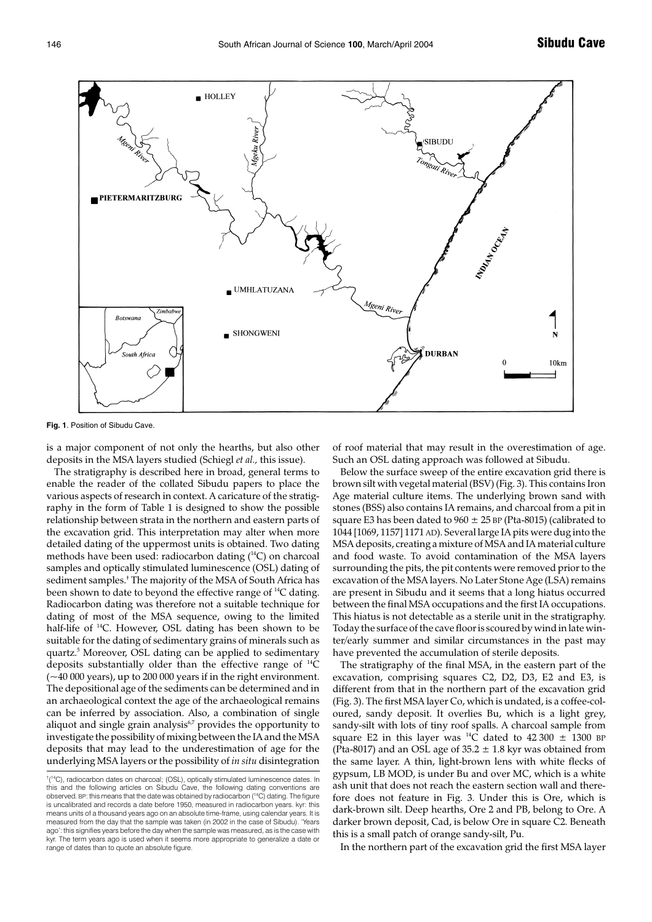

**Fig. 1**. Position of Sibudu Cave.

is a major component of not only the hearths, but also other deposits in the MSA layers studied (Schiegl *et al.,* this issue).

The stratigraphy is described here in broad, general terms to enable the reader of the collated Sibudu papers to place the various aspects of research in context. A caricature of the stratigraphy in the form of Table 1 is designed to show the possible relationship between strata in the northern and eastern parts of the excavation grid. This interpretation may alter when more detailed dating of the uppermost units is obtained. Two dating methods have been used: radiocarbon dating (<sup>14</sup>C) on charcoal samples and optically stimulated luminescence (OSL) dating of sediment samples.† The majority of the MSA of South Africa has been shown to date to beyond the effective range of <sup>14</sup>C dating. Radiocarbon dating was therefore not a suitable technique for dating of most of the MSA sequence, owing to the limited half-life of 14C. However, OSL dating has been shown to be suitable for the dating of sedimentary grains of minerals such as quartz.5 Moreover, OSL dating can be applied to sedimentary deposits substantially older than the effective range of 14C (~40 000 years), up to 200 000 years if in the right environment. The depositional age of the sediments can be determined and in an archaeological context the age of the archaeological remains can be inferred by association. Also, a combination of single aliquot and single grain analysis<sup>6,7</sup> provides the opportunity to investigate the possibility of mixing between the IA and the MSA deposits that may lead to the underestimation of age for the underlying MSA layers or the possibility of *in situ* disintegration of roof material that may result in the overestimation of age. Such an OSL dating approach was followed at Sibudu.

Below the surface sweep of the entire excavation grid there is brown silt with vegetal material (BSV) (Fig. 3). This contains Iron Age material culture items. The underlying brown sand with stones (BSS) also contains IA remains, and charcoal from a pit in square E3 has been dated to  $960 \pm 25$  BP (Pta-8015) (calibrated to 1044 [1069, 1157] 1171 AD). Several large IA pits were dug into the MSA deposits, creating a mixture of MSA and IA material culture and food waste. To avoid contamination of the MSA layers surrounding the pits, the pit contents were removed prior to the excavation of the MSA layers. No Later Stone Age (LSA) remains are present in Sibudu and it seems that a long hiatus occurred between the final MSA occupations and the first IA occupations. This hiatus is not detectable as a sterile unit in the stratigraphy. Today the surface of the cave floor is scoured by wind in late winter/early summer and similar circumstances in the past may have prevented the accumulation of sterile deposits.

The stratigraphy of the final MSA, in the eastern part of the excavation, comprising squares C2, D2, D3, E2 and E3, is different from that in the northern part of the excavation grid (Fig. 3). The first MSA layer Co, which is undated, is a coffee-coloured, sandy deposit. It overlies Bu, which is a light grey, sandy-silt with lots of tiny roof spalls. A charcoal sample from square E2 in this layer was <sup>14</sup>C dated to  $42\,300 \pm 1300$  BP (Pta-8017) and an OSL age of  $35.2 \pm 1.8$  kyr was obtained from the same layer. A thin, light-brown lens with white flecks of gypsum, LB MOD, is under Bu and over MC, which is a white ash unit that does not reach the eastern section wall and therefore does not feature in Fig. 3. Under this is Ore, which is dark-brown silt. Deep hearths, Ore 2 and PB, belong to Ore. A darker brown deposit, Cad, is below Ore in square C2. Beneath this is a small patch of orange sandy-silt, Pu.

In the northern part of the excavation grid the first MSA layer

<sup>&</sup>lt;sup>†</sup><sup>14</sup>C), radiocarbon dates on charcoal; (OSL), optically stimulated luminescence dates. In this and the following articles on Sibudu Cave, the following dating conventions are observed. BP: this means that the date was obtained by radiocarbon (14C) dating. The figure is uncalibrated and records a date before 1950, measured in radiocarbon years. kyr: this means units of a thousand years ago on an absolute time-frame, using calendar years. It is measured from the day that the sample was taken (in 2002 in the case of Sibudu). 'Years ago': this signifies years before the day when the sample was measured, as is the case with kyr. The term years ago is used when it seems more appropriate to generalize a date or range of dates than to quote an absolute figure.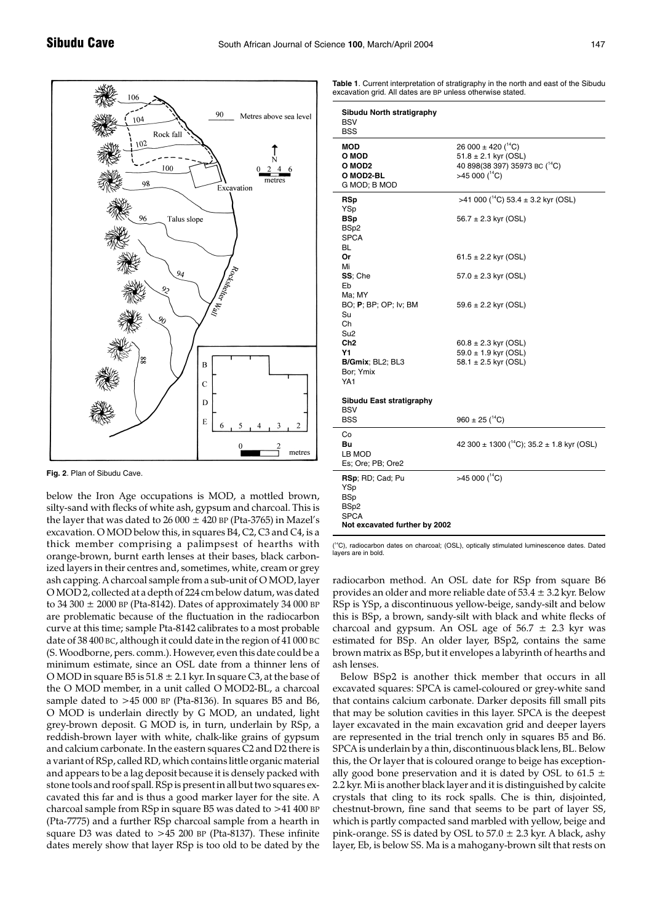

**Fig. 2**. Plan of Sibudu Cave.

below the Iron Age occupations is MOD, a mottled brown, silty-sand with flecks of white ash, gypsum and charcoal. This is the layer that was dated to  $26000 \pm 420$  BP (Pta-3765) in Mazel's excavation. O MOD below this, in squares B4, C2, C3 and C4, is a thick member comprising a palimpsest of hearths with orange-brown, burnt earth lenses at their bases, black carbonized layers in their centres and, sometimes, white, cream or grey ash capping. A charcoal sample from a sub-unit of O MOD, layer O MOD 2, collected at a depth of 224 cm below datum, was dated to 34 300  $\pm$  2000 BP (Pta-8142). Dates of approximately 34 000 BP are problematic because of the fluctuation in the radiocarbon curve at this time; sample Pta-8142 calibrates to a most probable date of 38 400 BC, although it could date in the region of 41 000 BC (S. Woodborne, pers. comm.). However, even this date could be a minimum estimate, since an OSL date from a thinner lens of O MOD in square B5 is  $51.8 \pm 2.1$  kyr. In square C3, at the base of the O MOD member, in a unit called O MOD2-BL, a charcoal sample dated to >45 000 BP (Pta-8136). In squares B5 and B6, O MOD is underlain directly by G MOD, an undated, light grey-brown deposit. G MOD is, in turn, underlain by RSp, a reddish-brown layer with white, chalk-like grains of gypsum and calcium carbonate. In the eastern squares C2 and D2 there is a variant of RSp, called RD, which contains little organic material and appears to be a lag deposit because it is densely packed with stone tools and roof spall. RSp is present in all but two squares excavated this far and is thus a good marker layer for the site. A charcoal sample from RSp in square B5 was dated to >41 400 BP (Pta-7775) and a further RSp charcoal sample from a hearth in square D3 was dated to  $>45$  200 BP (Pta-8137). These infinite dates merely show that layer RSp is too old to be dated by the

**Table 1**. Current interpretation of stratigraphy in the north and east of the Sibudu excavation grid. All dates are BP unless otherwise stated.

| Sibudu North stratigraphy<br><b>BSV</b><br><b>BSS</b>                                         |                                                                                                                                     |
|-----------------------------------------------------------------------------------------------|-------------------------------------------------------------------------------------------------------------------------------------|
| MOD<br>O MOD<br>O MOD2<br>O MOD2-BL<br>G MOD; B MOD                                           | 26 000 $\pm$ 420 ( <sup>14</sup> C)<br>$51.8 \pm 2.1$ kyr (OSL)<br>40 898(38 397) 35973 BC ( <sup>14</sup> C)<br>>45 000 $(^{14}C)$ |
| RSp<br>YSp<br><b>BSp</b><br>BSp2<br><b>SPCA</b><br>BL                                         | >41 000 ( $^{14}$ C) 53.4 ± 3.2 kyr (OSL)<br>$56.7 \pm 2.3$ kyr (OSL)                                                               |
| Or<br>Mi                                                                                      | $61.5 \pm 2.2$ kyr (OSL)                                                                                                            |
| SS; Che<br>Eb<br>Ma; MY                                                                       | $57.0 \pm 2.3$ kyr (OSL)                                                                                                            |
| BO; P; BP; OP; Iv; BM<br>Su<br>Ch<br>Su <sub>2</sub>                                          | $59.6 \pm 2.2$ kyr (OSL)                                                                                                            |
| Ch <sub>2</sub>                                                                               | $60.8 \pm 2.3$ kyr (OSL)                                                                                                            |
| Υ1<br>B/Gmix; BL2; BL3<br>Bor: Ymix<br>YA1                                                    | $59.0 \pm 1.9$ kyr (OSL)<br>58.1 $\pm$ 2.5 kyr (OSL)                                                                                |
| Sibudu East stratigraphy<br>BSV                                                               |                                                                                                                                     |
| BSS                                                                                           | $960 \pm 25$ ( <sup>14</sup> C)                                                                                                     |
| Co<br>Bu<br>LB MOD<br>Es; Ore; PB; Ore2                                                       | 42 300 ± 1300 ( $^{14}$ C); 35.2 ± 1.8 kyr (OSL)                                                                                    |
| RSp; RD; Cad; Pu<br>YSp<br><b>BSp</b><br>BSp2<br><b>SPCA</b><br>Not excavated further by 2002 | >45 000 $(^{14}C)$                                                                                                                  |

(<sup>14</sup>C), radiocarbon dates on charcoal; (OSL), optically stimulated luminescence dates. Dated layers are in bold.

radiocarbon method. An OSL date for RSp from square B6 provides an older and more reliable date of  $53.4 \pm 3.2$  kyr. Below RSp is YSp, a discontinuous yellow-beige, sandy-silt and below this is BSp, a brown, sandy-silt with black and white flecks of charcoal and gypsum. An OSL age of  $56.7 \pm 2.3$  kyr was estimated for BSp. An older layer, BSp2, contains the same brown matrix as BSp, but it envelopes a labyrinth of hearths and ash lenses.

Below BSp2 is another thick member that occurs in all excavated squares: SPCA is camel-coloured or grey-white sand that contains calcium carbonate. Darker deposits fill small pits that may be solution cavities in this layer. SPCA is the deepest layer excavated in the main excavation grid and deeper layers are represented in the trial trench only in squares B5 and B6. SPCA is underlain by a thin, discontinuous black lens, BL. Below this, the Or layer that is coloured orange to beige has exceptionally good bone preservation and it is dated by OSL to 61.5  $\pm$ 2.2 kyr. Mi is another black layer and it is distinguished by calcite crystals that cling to its rock spalls. Che is thin, disjointed, chestnut-brown, fine sand that seems to be part of layer SS, which is partly compacted sand marbled with yellow, beige and pink-orange. SS is dated by OSL to  $57.0 \pm 2.3$  kyr. A black, ashy layer, Eb, is below SS. Ma is a mahogany-brown silt that rests on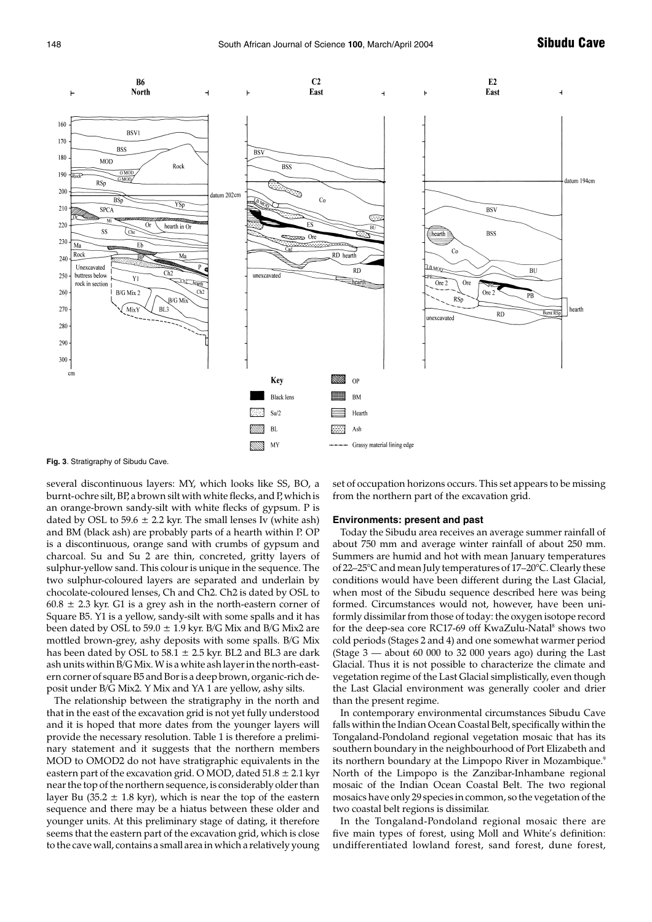

**Fig. 3**. Stratigraphy of Sibudu Cave.

several discontinuous layers: MY, which looks like SS, BO, a burnt-ochre silt, BP, a brown silt with white flecks, and P, which is an orange-brown sandy-silt with white flecks of gypsum. P is dated by OSL to 59.6  $\pm$  2.2 kyr. The small lenses Iv (white ash) and BM (black ash) are probably parts of a hearth within P. OP is a discontinuous, orange sand with crumbs of gypsum and charcoal. Su and Su 2 are thin, concreted, gritty layers of sulphur-yellow sand. This colour is unique in the sequence. The two sulphur-coloured layers are separated and underlain by chocolate-coloured lenses, Ch and Ch2. Ch2 is dated by OSL to  $60.8 \pm 2.3$  kyr. G1 is a grey ash in the north-eastern corner of Square B5. Y1 is a yellow, sandy-silt with some spalls and it has been dated by OSL to  $59.0 \pm 1.9$  kyr. B/G Mix and B/G Mix2 are mottled brown-grey, ashy deposits with some spalls. B/G Mix has been dated by OSL to  $58.1 \pm 2.5$  kyr. BL2 and BL3 are dark ash units within B/G Mix. W is a white ash layer in the north-eastern corner of square B5 and Bor is a deep brown, organic-rich deposit under B/G Mix2. Y Mix and YA 1 are yellow, ashy silts.

The relationship between the stratigraphy in the north and that in the east of the excavation grid is not yet fully understood and it is hoped that more dates from the younger layers will provide the necessary resolution. Table 1 is therefore a preliminary statement and it suggests that the northern members MOD to OMOD2 do not have stratigraphic equivalents in the eastern part of the excavation grid. O MOD, dated  $51.8 \pm 2.1$  kyr near the top of the northern sequence, is considerably older than layer Bu (35.2  $\pm$  1.8 kyr), which is near the top of the eastern sequence and there may be a hiatus between these older and younger units. At this preliminary stage of dating, it therefore seems that the eastern part of the excavation grid, which is close to the cave wall, contains a small area in which a relatively young set of occupation horizons occurs. This set appears to be missing from the northern part of the excavation grid.

#### **Environments: present and past**

Today the Sibudu area receives an average summer rainfall of about 750 mm and average winter rainfall of about 250 mm. Summers are humid and hot with mean January temperatures of 22–25°C and mean July temperatures of 17–20°C. Clearly these conditions would have been different during the Last Glacial, when most of the Sibudu sequence described here was being formed. Circumstances would not, however, have been uniformly dissimilar from those of today: the oxygen isotope record for the deep-sea core RC17-69 off KwaZulu-Natal<sup>8</sup> shows two cold periods (Stages 2 and 4) and one somewhat warmer period (Stage 3 — about 60 000 to 32 000 years ago) during the Last Glacial. Thus it is not possible to characterize the climate and vegetation regime of the Last Glacial simplistically, even though the Last Glacial environment was generally cooler and drier than the present regime.

In contemporary environmental circumstances Sibudu Cave falls within the Indian Ocean Coastal Belt, specifically within the Tongaland-Pondoland regional vegetation mosaic that has its southern boundary in the neighbourhood of Port Elizabeth and its northern boundary at the Limpopo River in Mozambique.<sup>9</sup> North of the Limpopo is the Zanzibar-Inhambane regional mosaic of the Indian Ocean Coastal Belt. The two regional mosaics have only 29 species in common, so the vegetation of the two coastal belt regions is dissimilar.

In the Tongaland-Pondoland regional mosaic there are five main types of forest, using Moll and White's definition: undifferentiated lowland forest, sand forest, dune forest,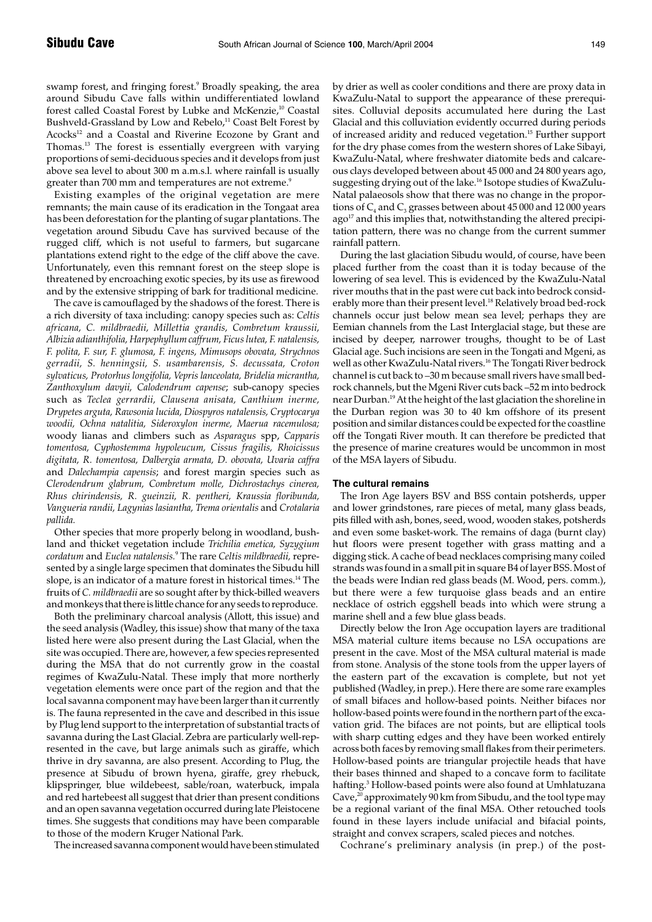swamp forest, and fringing forest.<sup>9</sup> Broadly speaking, the area around Sibudu Cave falls within undifferentiated lowland forest called Coastal Forest by Lubke and McKenzie,<sup>10</sup> Coastal Bushveld-Grassland by Low and Rebelo,<sup>11</sup> Coast Belt Forest by Acocks<sup>12</sup> and a Coastal and Riverine Ecozone by Grant and Thomas.13 The forest is essentially evergreen with varying proportions of semi-deciduous species and it develops from just above sea level to about 300 m a.m.s.l. where rainfall is usually greater than 700 mm and temperatures are not extreme.<sup>9</sup>

Existing examples of the original vegetation are mere remnants; the main cause of its eradication in the Tongaat area has been deforestation for the planting of sugar plantations. The vegetation around Sibudu Cave has survived because of the rugged cliff, which is not useful to farmers, but sugarcane plantations extend right to the edge of the cliff above the cave. Unfortunately, even this remnant forest on the steep slope is threatened by encroaching exotic species, by its use as firewood and by the extensive stripping of bark for traditional medicine.

The cave is camouflaged by the shadows of the forest. There is a rich diversity of taxa including: canopy species such as: *Celtis africana, C. mildbraedii, Millettia grandis, Combretum kraussii, Albizia adianthifolia, Harpephyllum caffrum, Ficus lutea, F. natalensis, F. polita, F. sur, F. glumosa, F. ingens, Mimusops obovata, Strychnos gerradii, S. henningsii, S. usambarensis, S. decussata, Croton sylvaticus, Protorhus longifolia, Vepris lanceolata, Bridelia micrantha, Zanthoxylum davyii, Calodendrum capense*; sub-canopy species such as *Teclea gerrardii, Clausena anisata, Canthium inerme, Drypetes arguta, Rawsonia lucida, Diospyros natalensis, Cryptocarya woodii, Ochna natalitia, Sideroxylon inerme, Maerua racemulosa;* woody lianas and climbers such as *Asparagus* spp, *Capparis tomentosa, Cyphostemma hypoleucum, Cissus fragilis, Rhoicissus digitata, R. tomentosa, Dalbergia armata, D. obovata, Uvaria caffra* and *Dalechampia capensis*; and forest margin species such as *Clerodendrum glabrum, Combretum molle, Dichrostachys cinerea, Rhus chirindensis, R. gueinzii, R. pentheri, Kraussia floribunda, Vangueria randii, Lagynias lasiantha, Trema orientalis* and *Crotalaria pallida.*

Other species that more properly belong in woodland, bushland and thicket vegetation include *Trichilia emetica, Syzygium cordatum* and *Euclea natalensis.*<sup>9</sup> The rare *Celtis mildbraedii,* represented by a single large specimen that dominates the Sibudu hill slope, is an indicator of a mature forest in historical times.<sup>14</sup> The fruits of *C. mildbraedii* are so sought after by thick-billed weavers and monkeys that there is little chance for any seeds to reproduce.

Both the preliminary charcoal analysis (Allott, this issue) and the seed analysis (Wadley, this issue) show that many of the taxa listed here were also present during the Last Glacial, when the site was occupied. There are, however, a few species represented during the MSA that do not currently grow in the coastal regimes of KwaZulu-Natal. These imply that more northerly vegetation elements were once part of the region and that the local savanna component may have been larger than it currently is. The fauna represented in the cave and described in this issue by Plug lend support to the interpretation of substantial tracts of savanna during the Last Glacial. Zebra are particularly well-represented in the cave, but large animals such as giraffe, which thrive in dry savanna, are also present. According to Plug, the presence at Sibudu of brown hyena, giraffe, grey rhebuck, klipspringer, blue wildebeest, sable/roan, waterbuck, impala and red hartebeest all suggest that drier than present conditions and an open savanna vegetation occurred during late Pleistocene times. She suggests that conditions may have been comparable to those of the modern Kruger National Park.

The increased savanna component would have been stimulated

by drier as well as cooler conditions and there are proxy data in KwaZulu-Natal to support the appearance of these prerequisites. Colluvial deposits accumulated here during the Last Glacial and this colluviation evidently occurred during periods of increased aridity and reduced vegetation.15 Further support for the dry phase comes from the western shores of Lake Sibayi, KwaZulu-Natal, where freshwater diatomite beds and calcareous clays developed between about 45 000 and 24 800 years ago, suggesting drying out of the lake.<sup>16</sup> Isotope studies of KwaZulu-Natal palaeosols show that there was no change in the proportions of  $C_4$  and  $C_3$  grasses between about 45 000 and 12 000 years  $ago<sup>17</sup>$  and this implies that, notwithstanding the altered precipitation pattern, there was no change from the current summer rainfall pattern.

During the last glaciation Sibudu would, of course, have been placed further from the coast than it is today because of the lowering of sea level. This is evidenced by the KwaZulu-Natal river mouths that in the past were cut back into bedrock considerably more than their present level.<sup>18</sup> Relatively broad bed-rock channels occur just below mean sea level; perhaps they are Eemian channels from the Last Interglacial stage, but these are incised by deeper, narrower troughs, thought to be of Last Glacial age. Such incisions are seen in the Tongati and Mgeni, as well as other KwaZulu-Natal rivers.<sup>16</sup> The Tongati River bedrock channel is cut back to –30 m because small rivers have small bedrock channels, but the Mgeni River cuts back –52 m into bedrock near Durban.<sup>19</sup> At the height of the last glaciation the shoreline in the Durban region was 30 to 40 km offshore of its present position and similar distances could be expected for the coastline off the Tongati River mouth. It can therefore be predicted that the presence of marine creatures would be uncommon in most of the MSA layers of Sibudu.

#### **The cultural remains**

The Iron Age layers BSV and BSS contain potsherds, upper and lower grindstones, rare pieces of metal, many glass beads, pits filled with ash, bones, seed, wood, wooden stakes, potsherds and even some basket-work. The remains of daga (burnt clay) hut floors were present together with grass matting and a digging stick. A cache of bead necklaces comprising many coiled strands was found in a small pit in square B4 of layer BSS. Most of the beads were Indian red glass beads (M. Wood, pers. comm.), but there were a few turquoise glass beads and an entire necklace of ostrich eggshell beads into which were strung a marine shell and a few blue glass beads.

Directly below the Iron Age occupation layers are traditional MSA material culture items because no LSA occupations are present in the cave. Most of the MSA cultural material is made from stone. Analysis of the stone tools from the upper layers of the eastern part of the excavation is complete, but not yet published (Wadley, in prep.). Here there are some rare examples of small bifaces and hollow-based points. Neither bifaces nor hollow-based points were found in the northern part of the excavation grid. The bifaces are not points, but are elliptical tools with sharp cutting edges and they have been worked entirely across both faces by removing small flakes from their perimeters. Hollow-based points are triangular projectile heads that have their bases thinned and shaped to a concave form to facilitate hafting.<sup>3</sup> Hollow-based points were also found at Umhlatuzana Cave, $^{20}$  approximately 90 km from Sibudu, and the tool type may be a regional variant of the final MSA. Other retouched tools found in these layers include unifacial and bifacial points, straight and convex scrapers, scaled pieces and notches.

Cochrane's preliminary analysis (in prep.) of the post-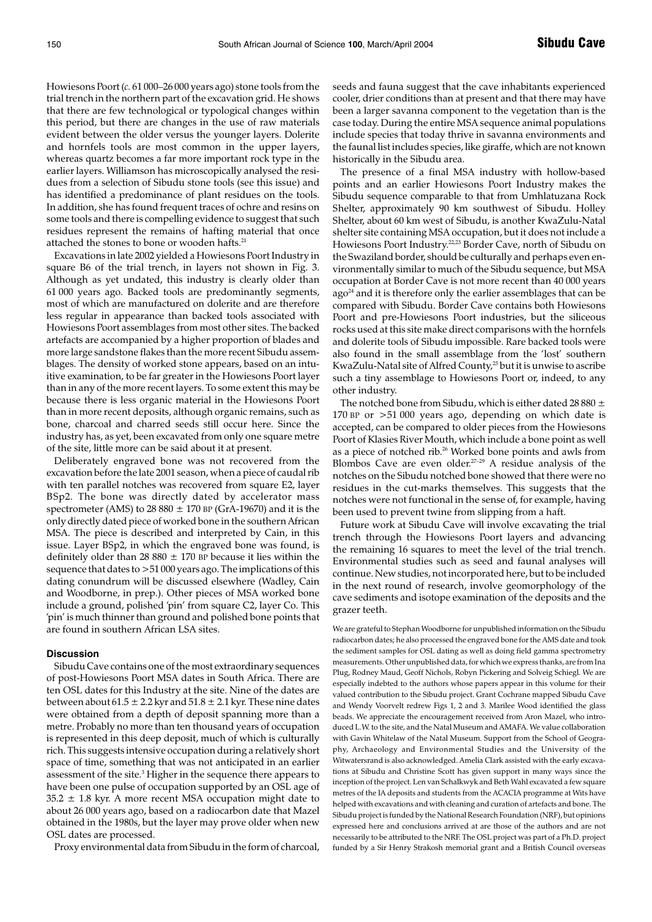Howiesons Poort (*c.* 61 000–26 000 years ago) stone tools from the trial trench in the northern part of the excavation grid. He shows that there are few technological or typological changes within this period, but there are changes in the use of raw materials evident between the older versus the younger layers. Dolerite and hornfels tools are most common in the upper layers, whereas quartz becomes a far more important rock type in the earlier layers. Williamson has microscopically analysed the residues from a selection of Sibudu stone tools (see this issue) and has identified a predominance of plant residues on the tools. In addition, she has found frequent traces of ochre and resins on some tools and there is compelling evidence to suggest that such residues represent the remains of hafting material that once attached the stones to bone or wooden hafts.<sup>21</sup>

Excavations in late 2002 yielded a Howiesons Poort Industry in square B6 of the trial trench, in layers not shown in Fig. 3. Although as yet undated, this industry is clearly older than 61 000 years ago. Backed tools are predominantly segments, most of which are manufactured on dolerite and are therefore less regular in appearance than backed tools associated with Howiesons Poort assemblages from most other sites. The backed artefacts are accompanied by a higher proportion of blades and more large sandstone flakes than the more recent Sibudu assemblages. The density of worked stone appears, based on an intuitive examination, to be far greater in the Howiesons Poort layer than in any of the more recent layers. To some extent this may be because there is less organic material in the Howiesons Poort than in more recent deposits, although organic remains, such as bone, charcoal and charred seeds still occur here. Since the industry has, as yet, been excavated from only one square metre of the site, little more can be said about it at present.

Deliberately engraved bone was not recovered from the excavation before the late 2001 season, when a piece of caudal rib with ten parallel notches was recovered from square E2, layer BSp2. The bone was directly dated by accelerator mass spectrometer (AMS) to 28 880  $\pm$  170 BP (GrA-19670) and it is the only directly dated piece of worked bone in the southern African MSA. The piece is described and interpreted by Cain, in this issue. Layer BSp2, in which the engraved bone was found, is definitely older than 28 880  $\pm$  170 BP because it lies within the sequence that dates to >51 000 years ago. The implications of this dating conundrum will be discussed elsewhere (Wadley, Cain and Woodborne, in prep.). Other pieces of MSA worked bone include a ground, polished 'pin' from square C2, layer Co. This 'pin' is much thinner than ground and polished bone points that are found in southern African LSA sites.

#### **Discussion**

Sibudu Cave contains one of the most extraordinary sequences of post-Howiesons Poort MSA dates in South Africa. There are ten OSL dates for this Industry at the site. Nine of the dates are between about  $61.5 \pm 2.2$  kyr and  $51.8 \pm 2.1$  kyr. These nine dates were obtained from a depth of deposit spanning more than a metre. Probably no more than ten thousand years of occupation is represented in this deep deposit, much of which is culturally rich. This suggests intensive occupation during a relatively short space of time, something that was not anticipated in an earlier assessment of the site.3 Higher in the sequence there appears to have been one pulse of occupation supported by an OSL age of  $35.2 \pm 1.8$  kyr. A more recent MSA occupation might date to about 26 000 years ago, based on a radiocarbon date that Mazel obtained in the 1980s, but the layer may prove older when new OSL dates are processed.

Proxy environmental data from Sibudu in the form of charcoal,

seeds and fauna suggest that the cave inhabitants experienced cooler, drier conditions than at present and that there may have been a larger savanna component to the vegetation than is the case today. During the entire MSA sequence animal populations include species that today thrive in savanna environments and the faunal list includes species, like giraffe, which are not known historically in the Sibudu area.

The presence of a final MSA industry with hollow-based points and an earlier Howiesons Poort Industry makes the Sibudu sequence comparable to that from Umhlatuzana Rock Shelter, approximately 90 km southwest of Sibudu. Holley Shelter, about 60 km west of Sibudu, is another KwaZulu-Natal shelter site containing MSA occupation, but it does not include a Howiesons Poort Industry.<sup>22,23</sup> Border Cave, north of Sibudu on the Swaziland border, should be culturally and perhaps even environmentally similar to much of the Sibudu sequence, but MSA occupation at Border Cave is not more recent than 40 000 years ago<sup>24</sup> and it is therefore only the earlier assemblages that can be compared with Sibudu. Border Cave contains both Howiesons Poort and pre-Howiesons Poort industries, but the siliceous rocks used at this site make direct comparisons with the hornfels and dolerite tools of Sibudu impossible. Rare backed tools were also found in the small assemblage from the 'lost' southern KwaZulu-Natal site of Alfred County,<sup>25</sup> but it is unwise to ascribe such a tiny assemblage to Howiesons Poort or, indeed, to any other industry.

The notched bone from Sibudu, which is either dated 28 880  $\pm$ 170 BP or >51 000 years ago, depending on which date is accepted, can be compared to older pieces from the Howiesons Poort of Klasies River Mouth, which include a bone point as well as a piece of notched rib.<sup>26</sup> Worked bone points and awls from Blombos Cave are even older. $27-29$  A residue analysis of the notches on the Sibudu notched bone showed that there were no residues in the cut-marks themselves. This suggests that the notches were not functional in the sense of, for example, having been used to prevent twine from slipping from a haft.

Future work at Sibudu Cave will involve excavating the trial trench through the Howiesons Poort layers and advancing the remaining 16 squares to meet the level of the trial trench. Environmental studies such as seed and faunal analyses will continue. New studies, not incorporated here, but to be included in the next round of research, involve geomorphology of the cave sediments and isotope examination of the deposits and the grazer teeth.

We are grateful to Stephan Woodborne for unpublished information on the Sibudu radiocarbon dates; he also processed the engraved bone for the AMS date and took the sediment samples for OSL dating as well as doing field gamma spectrometry measurements. Other unpublished data, for which we express thanks, are from Ina Plug, Rodney Maud, Geoff Nichols, Robyn Pickering and Solveig Schiegl. We are especially indebted to the authors whose papers appear in this volume for their valued contribution to the Sibudu project. Grant Cochrane mapped Sibudu Cave and Wendy Voorvelt redrew Figs 1, 2 and 3. Marilee Wood identified the glass beads. We appreciate the encouragement received from Aron Mazel, who introduced L.W. to the site, and the Natal Museum and AMAFA. We value collaboration with Gavin Whitelaw of the Natal Museum. Support from the School of Geography, Archaeology and Environmental Studies and the University of the Witwatersrand is also acknowledged. Amelia Clark assisted with the early excavations at Sibudu and Christine Scott has given support in many ways since the inception of the project. Len van Schalkwyk and Beth Wahl excavated a few square metres of the IA deposits and students from the ACACIA programme at Wits have helped with excavations and with cleaning and curation of artefacts and bone. The Sibudu project is funded by the National Research Foundation (NRF), but opinions expressed here and conclusions arrived at are those of the authors and are not necessarily to be attributed to the NRF. The OSL project was part of a Ph.D. project funded by a Sir Henry Strakosh memorial grant and a British Council overseas